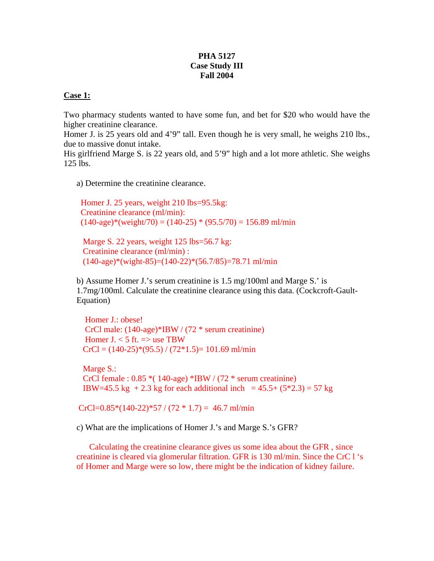## **PHA 5127 Case Study III Fall 2004**

## **Case 1:**

Two pharmacy students wanted to have some fun, and bet for \$20 who would have the higher creatinine clearance.

Homer J. is 25 years old and 4'9" tall. Even though he is very small, he weighs 210 lbs., due to massive donut intake.

His girlfriend Marge S. is 22 years old, and 5'9" high and a lot more athletic. She weighs 125 lbs.

a) Determine the creatinine clearance.

 Homer J. 25 years, weight 210 lbs=95.5kg: Creatinine clearance (ml/min):  $(140\text{-age})*(weight/70) = (140\text{-}25)*(95.5/70) = 156.89 \text{ ml/min}$ 

Marge S. 22 years, weight 125 lbs=56.7 kg: Creatinine clearance (ml/min) :  $(140\text{-age})*(\text{weight-85})=(140\text{-}22)*(56.7/85)=78.71 \text{ ml/min}$ 

b) Assume Homer J.'s serum creatinine is 1.5 mg/100ml and Marge S.' is 1.7mg/100ml. Calculate the creatinine clearance using this data. (Cockcroft-Gault-Equation)

 Homer J.: obese! CrCl male: (140-age)\*IBW / (72 \* serum creatinine) Homer J.  $<$  5 ft.  $\Rightarrow$  use TBW  $CrCl = (140-25)*(95.5)/(72*1.5) = 101.69$  ml/min

 Marge S.: CrCl female :  $0.85*(140\text{-age})*IBW/(72)*$  serum creatinine) IBW=45.5 kg + 2.3 kg for each additional inch =  $45.5 + (5*2.3) = 57$  kg

 $CrCl=0.85*(140-22)*57/(72 * 1.7) = 46.7$  ml/min

c) What are the implications of Homer J.'s and Marge S.'s GFR?

 Calculating the creatinine clearance gives us some idea about the GFR , since creatinine is cleared via glomerular filtration. GFR is 130 ml/min. Since the CrC l 's of Homer and Marge were so low, there might be the indication of kidney failure.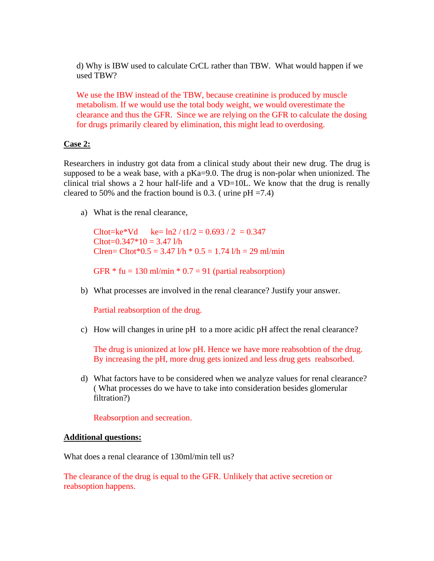d) Why is IBW used to calculate CrCL rather than TBW. What would happen if we used TBW?

We use the IBW instead of the TBW, because creatinine is produced by muscle metabolism. If we would use the total body weight, we would overestimate the clearance and thus the GFR. Since we are relying on the GFR to calculate the dosing for drugs primarily cleared by elimination, this might lead to overdosing.

## **Case 2:**

Researchers in industry got data from a clinical study about their new drug. The drug is supposed to be a weak base, with a  $pKa=9.0$ . The drug is non-polar when unionized. The clinical trial shows a 2 hour half-life and a VD=10L. We know that the drug is renally cleared to 50% and the fraction bound is 0.3. (urine  $pH = 7.4$ )

a) What is the renal clearance,

 $Cltot=ke*Vd$  ke=  $ln2 / t1/2 = 0.693 / 2 = 0.347$  $Cltot=0.347*10=3.47$  l/h Clren= Cltot\* $0.5 = 3.47$  l/h \*  $0.5 = 1.74$  l/h = 29 ml/min

GFR  $*$  fu = 130 ml/min  $*$  0.7 = 91 (partial reabsorption)

b) What processes are involved in the renal clearance? Justify your answer.

Partial reabsorption of the drug.

c) How will changes in urine pH to a more acidic pH affect the renal clearance?

The drug is unionized at low pH. Hence we have more reabsobtion of the drug. By increasing the pH, more drug gets ionized and less drug gets reabsorbed.

d) What factors have to be considered when we analyze values for renal clearance? ( What processes do we have to take into consideration besides glomerular filtration?)

Reabsorption and secreation.

#### **Additional questions:**

What does a renal clearance of 130ml/min tell us?

The clearance of the drug is equal to the GFR. Unlikely that active secretion or reabsoption happens.